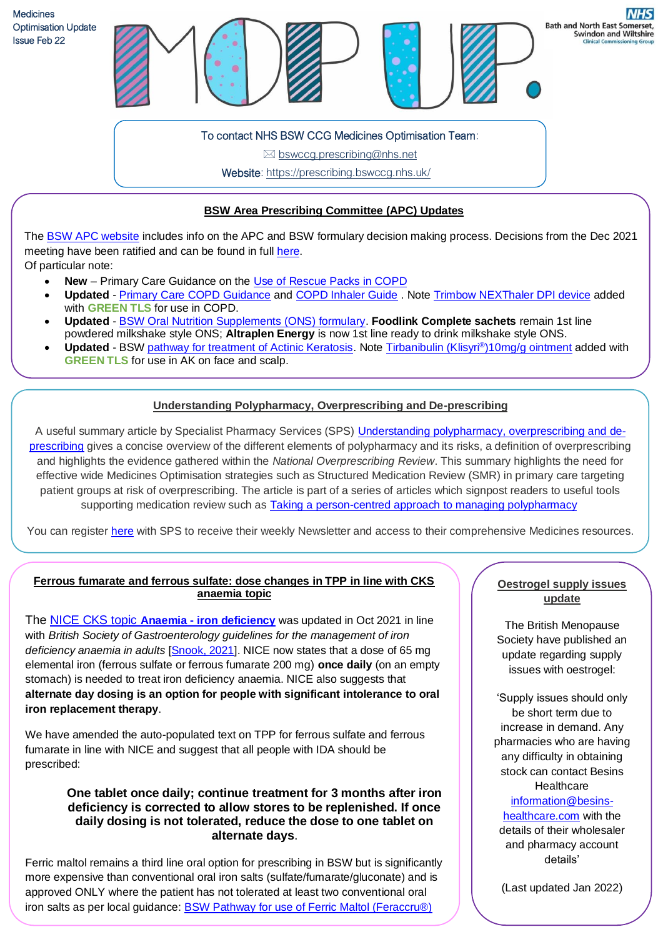

To contact NHS BSW CCG Medicines Optimisation Team:

 $\boxtimes$  bswccg.prescribing@nhs.net

Website: [https://prescribing.bswccg.nhs.uk/](https://prescribing.wiltshireccg.nhs.uk/)

### **BSW Area Prescribing Committee (APC) Updates**

The [BSW APC website](https://prescribing.bswccg.nhs.uk/apc) includes info on the APC and BSW formulary decision making process. Decisions from the Dec 2021 meeting have been ratified and can be found in ful[l here.](https://prescribing.bswccg.nhs.uk/apc-recent-decisions) Of particular note:

- **New** Primary Care Guidance on the [Use of Rescue Packs in COPD](https://prescribing.bswccg.nhs.uk/?wpdmdl=9108)
- **Updated**  [Primary Care COPD Guidance](https://prescribing.bswccg.nhs.uk/?wpdmdl=6331) and [COPD Inhaler Guide](https://prescribing.bswccg.nhs.uk/?wpdmdl=6334) . Note [Trimbow NEXThaler DPI device](http://bswformulary.nhs.uk/chaptersSubDetails.asp?FormularySectionID=3&SubSectionRef=03.02.03&SubSectionID=B100&drugmatch=5097#5097) added with **GREEN TLS** for use in COPD.
- **Updated** [BSW Oral Nutrition Supplements \(ONS\) formulary.](https://prescribing.bswccg.nhs.uk/?wpdmdl=5810) **Foodlink Complete sachets** remain 1st line powdered milkshake style ONS; **Altraplen Energy** is now 1st line ready to drink milkshake style ONS.
- Updated BSW <u>pathway for treatment of Actinic Keratosis</u>. Note [Tirbanibulin \(Klisyri](http://bswformulary.nhs.uk/chaptersSubDetails.asp?FormularySectionID=13&SubSectionRef=13.08.01&SubSectionID=B100#5769)®)10mg/g ointment added with **GREEN TLS** for use in AK on face and scalp.

# **Understanding Polypharmacy, Overprescribing and De-prescribing**

A useful summary article by Specialist Pharmacy Services (SPS) *Understanding polypharmacy, [overprescribing](https://www.sps.nhs.uk/articles/understanding-polypharmacy-overprescribing-and-deprescribing/) and de*[prescribing](https://www.sps.nhs.uk/articles/understanding-polypharmacy-overprescribing-and-deprescribing/) gives a concise overview of the different elements of polypharmacy and its risks, a definition of overprescribing and highlights the evidence gathered within the *National Overprescribing Review*. This summary highlights the need for effective wide Medicines Optimisation strategies such as Structured Medication Review (SMR) in primary care targeting patient groups at risk of overprescribing. The article is part of a series of articles which signpost readers to useful tools supporting medication review such as **Taking a [person-centred](https://www.sps.nhs.uk/articles/taking-a-person-centred-approach-to-managing-polypharmacy/) approach to managing polypharmacy** 

You can register [here](https://www.sps.nhs.uk/register/) with SPS to receive their weekly Newsletter and access to their comprehensive Medicines resources.

ׇ֧֬

# **Ferrous fumarate and ferrous sulfate: dose changes in TPP in line with CKS anaemia topic**

The [NICE CKS topic](https://cks.nice.org.uk/topics/anaemia-iron-deficiency/) **Anaemia - [iron deficiency](https://cks.nice.org.uk/topics/anaemia-iron-deficiency/)** was updated in Oct 2021 in line with *British Society of Gastroenterology guidelines for the management of iron deficiency anaemia in adults* [\[Snook, 2021\]](https://gut.bmj.com/content/early/2021/09/15/gutjnl-2021-325210). NICE now states that a dose of 65 mg elemental iron (ferrous sulfate or ferrous fumarate 200 mg) **once daily** (on an empty stomach) is needed to treat iron deficiency anaemia. NICE also suggests that **alternate day dosing is an option for people with significant intolerance to oral iron replacement therapy**.

We have amended the auto-populated text on TPP for ferrous sulfate and ferrous fumarate in line with NICE and suggest that all people with IDA should be prescribed:

#### **One tablet once daily; continue treatment for 3 months after iron deficiency is corrected to allow stores to be replenished. If once daily dosing is not tolerated, reduce the dose to one tablet on alternate days**.

Ferric maltol remains a third line oral option for prescribing in BSW but is significantly more expensive than conventional oral iron salts (sulfate/fumarate/gluconate) and is approved ONLY where the patient has not tolerated at least two conventional oral iron salts as per local guidance: [BSW Pathway for use of Ferric Maltol \(Feraccru®\)](https://prescribing.bswccg.nhs.uk/?wpdmdl=8697&ind=1628507816832&UNLID=6065990202022228131035)

#### **Oestrogel supply issues update**

**Swindon and Wiltshire** 

The British Menopause Society have published an update regarding supply issues with oestrogel:

'Supply issues should only be short term due to increase in demand. Any pharmacies who are having any difficulty in obtaining stock can contact Besins **Healthcare** [information@besins](mailto:information@besins-healthcare.com)[healthcare.com](mailto:information@besins-healthcare.com) with the details of their wholesaler and pharmacy account details'

(Last updated Jan 2022)